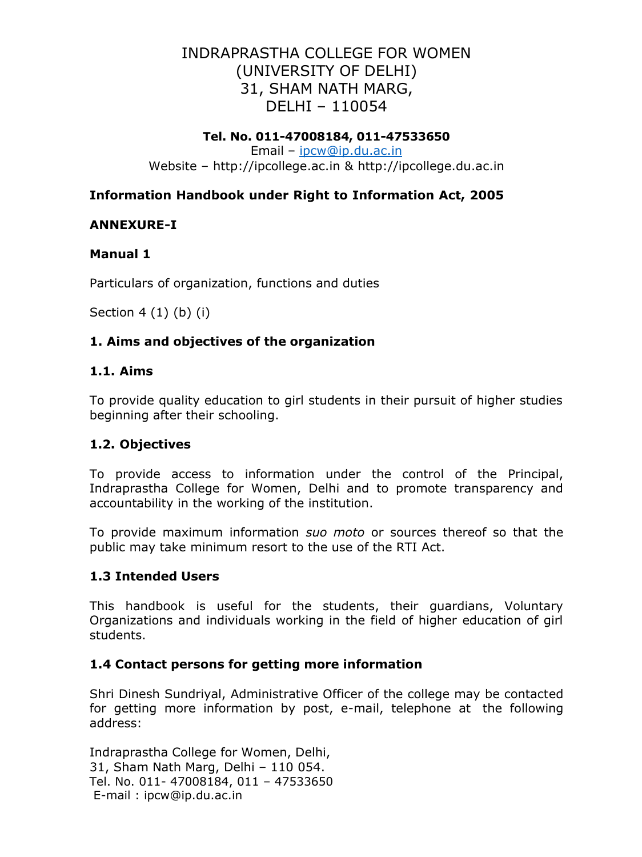# INDRAPRASTHA COLLEGE FOR WOMEN (UNIVERSITY OF DELHI) 31, SHAM NATH MARG, DELHI – 110054

## **Tel. No. 011-47008184, 011-47533650**

Email – [ipcw@ip.du.ac.in](mailto:ipcw@ip.du.ac.in) Website – [http://ipcollege.ac.in &](http://ipcollege.ac.in/) [http://ipcollege.du.ac.in](http://ipcollege.du.ac.in/)

# **Information Handbook under Right to Information Act, 2005**

# **ANNEXURE-I**

# **Manual 1**

Particulars of organization, functions and duties

Section 4 (1) (b) (i)

# **1. Aims and objectives of the organization**

## **1.1. Aims**

To provide quality education to girl students in their pursuit of higher studies beginning after their schooling.

# **1.2. Objectives**

To provide access to information under the control of the Principal, Indraprastha College for Women, Delhi and to promote transparency and accountability in the working of the institution.

To provide maximum information *suo moto* or sources thereof so that the public may take minimum resort to the use of the RTI Act.

# **1.3 Intended Users**

This handbook is useful for the students, their guardians, Voluntary Organizations and individuals working in the field of higher education of girl students.

# **1.4 Contact persons for getting more information**

Shri Dinesh Sundriyal, Administrative Officer of the college may be contacted for getting more information by post, e-mail, telephone at the following address:

Indraprastha College for Women, Delhi, 31, Sham Nath Marg, Delhi – 110 054. Tel. No. 011- 47008184, 011 – 47533650 E-mail : ipcw@ip.du.ac.in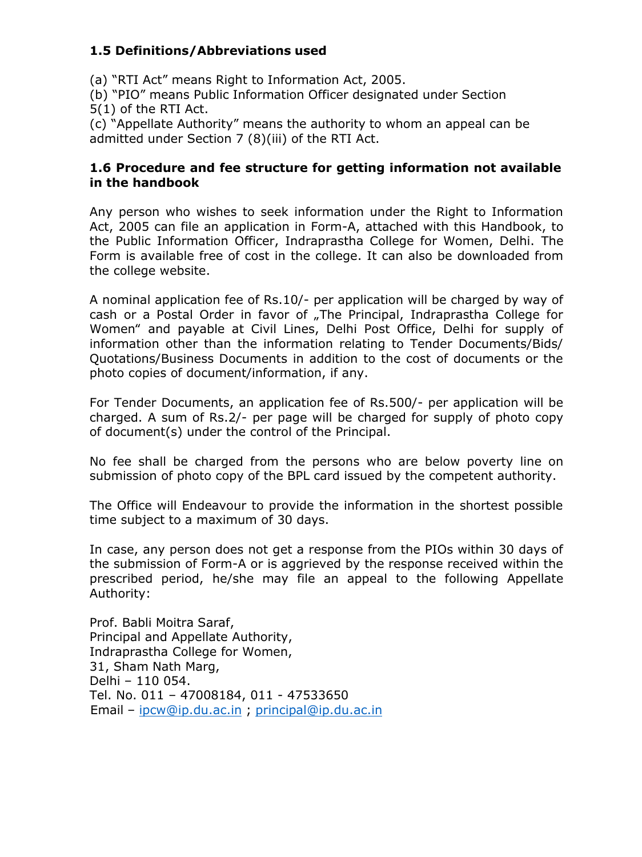# **1.5 Definitions/Abbreviations used**

(a) "RTI Act" means Right to Information Act, 2005.

(b) "PIO" means Public Information Officer designated under Section 5(1) of the RTI Act.

(c) "Appellate Authority" means the authority to whom an appeal can be admitted under Section 7 (8)(iii) of the RTI Act.

## **1.6 Procedure and fee structure for getting information not available in the handbook**

Any person who wishes to seek information under the Right to Information Act, 2005 can file an application in Form-A, attached with this Handbook, to the Public Information Officer, Indraprastha College for Women, Delhi. The Form is available free of cost in the college. It can also be downloaded from the college website.

A nominal application fee of Rs.10/- per application will be charged by way of cash or a Postal Order in favor of "The Principal, Indraprastha College for Women" and payable at Civil Lines, Delhi Post Office, Delhi for supply of information other than the information relating to Tender Documents/Bids/ Quotations/Business Documents in addition to the cost of documents or the photo copies of document/information, if any.

For Tender Documents, an application fee of Rs.500/- per application will be charged. A sum of Rs.2/- per page will be charged for supply of photo copy of document(s) under the control of the Principal.

No fee shall be charged from the persons who are below poverty line on submission of photo copy of the BPL card issued by the competent authority.

The Office will Endeavour to provide the information in the shortest possible time subject to a maximum of 30 days.

In case, any person does not get a response from the PIOs within 30 days of the submission of Form-A or is aggrieved by the response received within the prescribed period, he/she may file an appeal to the following Appellate Authority:

Prof. Babli Moitra Saraf, Principal and Appellate Authority, Indraprastha College for Women, 31, Sham Nath Marg, Delhi – 110 054. Tel. No. 011 – 47008184, 011 - 47533650 Email – [ipcw@ip.du.ac.in](mailto:ipcw@ip.du.ac.in) ; [principal@ip.du.ac.in](mailto:principal@ip.du.ac.in)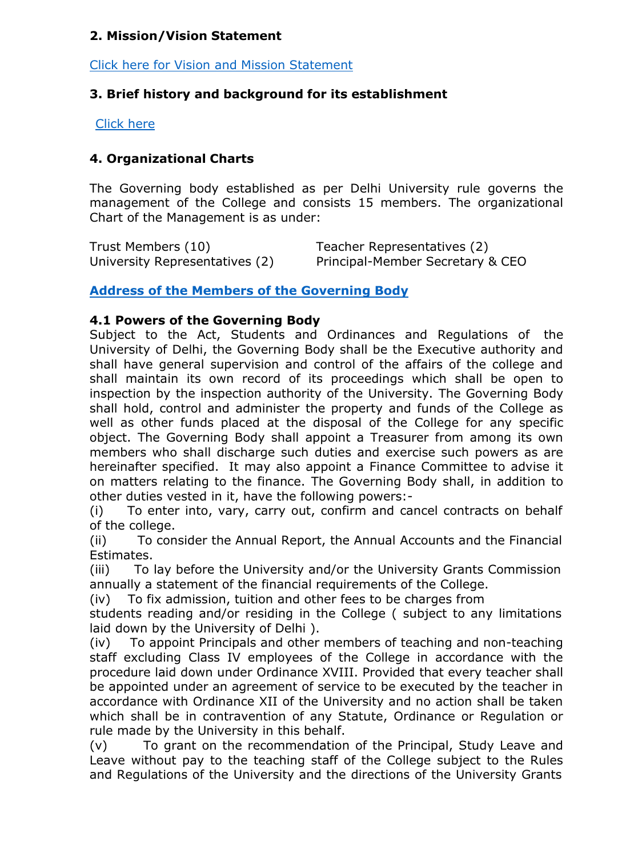# **2. Mission/Vision Statement**

Click here for Vision and Mission [Statement](http://ipcollege.ac.in/Viewtopics.aspx?MenuId=Vision__Mission_379)

# **3. Brief history and background for its establishment**

[Click](http://ipcollege.ac.in/Viewtopics.aspx?MenuId=About_IP_College_626) here

# **4. Organizational Charts**

The Governing body established as per Delhi University rule governs the management of the College and consists 15 members. The organizational Chart of the Management is as under:

Trust Members (10) Teacher Representatives (2) University Representatives (2) Principal-Member Secretary & CEO

**Address of the Members of the [Governing](http://ipcollege.ac.in/Viewtopics.aspx?MenuId=Governing_Body_382) Body**

## **4.1 Powers of the Governing Body**

Subject to the Act, Students and Ordinances and Regulations of the University of Delhi, the Governing Body shall be the Executive authority and shall have general supervision and control of the affairs of the college and shall maintain its own record of its proceedings which shall be open to inspection by the inspection authority of the University. The Governing Body shall hold, control and administer the property and funds of the College as well as other funds placed at the disposal of the College for any specific object. The Governing Body shall appoint a Treasurer from among its own members who shall discharge such duties and exercise such powers as are hereinafter specified. It may also appoint a Finance Committee to advise it on matters relating to the finance. The Governing Body shall, in addition to other duties vested in it, have the following powers:-

(i) To enter into, vary, carry out, confirm and cancel contracts on behalf of the college.

(ii) To consider the Annual Report, the Annual Accounts and the Financial Estimates.

(iii) To lay before the University and/or the University Grants Commission annually a statement of the financial requirements of the College.

(iv) To fix admission, tuition and other fees to be charges from

students reading and/or residing in the College ( subject to any limitations laid down by the University of Delhi ).

(iv) To appoint Principals and other members of teaching and non-teaching staff excluding Class IV employees of the College in accordance with the procedure laid down under Ordinance XVIII. Provided that every teacher shall be appointed under an agreement of service to be executed by the teacher in accordance with Ordinance XII of the University and no action shall be taken which shall be in contravention of any Statute, Ordinance or Regulation or rule made by the University in this behalf.

(v) To grant on the recommendation of the Principal, Study Leave and Leave without pay to the teaching staff of the College subject to the Rules and Regulations of the University and the directions of the University Grants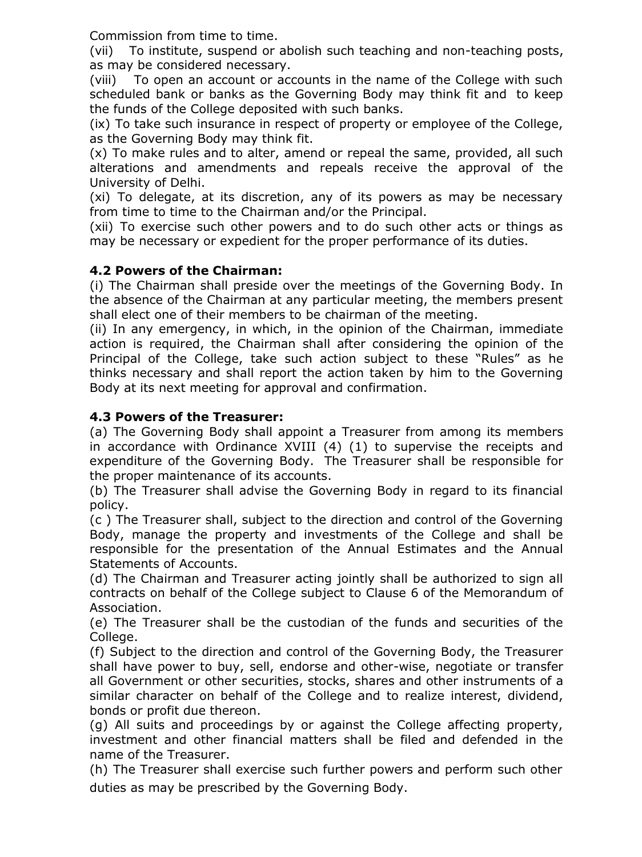Commission from time to time.

(vii) To institute, suspend or abolish such teaching and non-teaching posts, as may be considered necessary.

(viii) To open an account or accounts in the name of the College with such scheduled bank or banks as the Governing Body may think fit and to keep the funds of the College deposited with such banks.

(ix) To take such insurance in respect of property or employee of the College, as the Governing Body may think fit.

(x) To make rules and to alter, amend or repeal the same, provided, all such alterations and amendments and repeals receive the approval of the University of Delhi.

(xi) To delegate, at its discretion, any of its powers as may be necessary from time to time to the Chairman and/or the Principal.

(xii) To exercise such other powers and to do such other acts or things as may be necessary or expedient for the proper performance of its duties.

# **4.2 Powers of the Chairman:**

(i) The Chairman shall preside over the meetings of the Governing Body. In the absence of the Chairman at any particular meeting, the members present shall elect one of their members to be chairman of the meeting.

(ii) In any emergency, in which, in the opinion of the Chairman, immediate action is required, the Chairman shall after considering the opinion of the Principal of the College, take such action subject to these "Rules" as he thinks necessary and shall report the action taken by him to the Governing Body at its next meeting for approval and confirmation.

# **4.3 Powers of the Treasurer:**

(a) The Governing Body shall appoint a Treasurer from among its members in accordance with Ordinance XVIII (4) (1) to supervise the receipts and expenditure of the Governing Body. The Treasurer shall be responsible for the proper maintenance of its accounts.

(b) The Treasurer shall advise the Governing Body in regard to its financial policy.

(c ) The Treasurer shall, subject to the direction and control of the Governing Body, manage the property and investments of the College and shall be responsible for the presentation of the Annual Estimates and the Annual Statements of Accounts.

(d) The Chairman and Treasurer acting jointly shall be authorized to sign all contracts on behalf of the College subject to Clause 6 of the Memorandum of Association.

(e) The Treasurer shall be the custodian of the funds and securities of the College.

(f) Subject to the direction and control of the Governing Body, the Treasurer shall have power to buy, sell, endorse and other-wise, negotiate or transfer all Government or other securities, stocks, shares and other instruments of a similar character on behalf of the College and to realize interest, dividend, bonds or profit due thereon.

(g) All suits and proceedings by or against the College affecting property, investment and other financial matters shall be filed and defended in the name of the Treasurer.

(h) The Treasurer shall exercise such further powers and perform such other duties as may be prescribed by the Governing Body.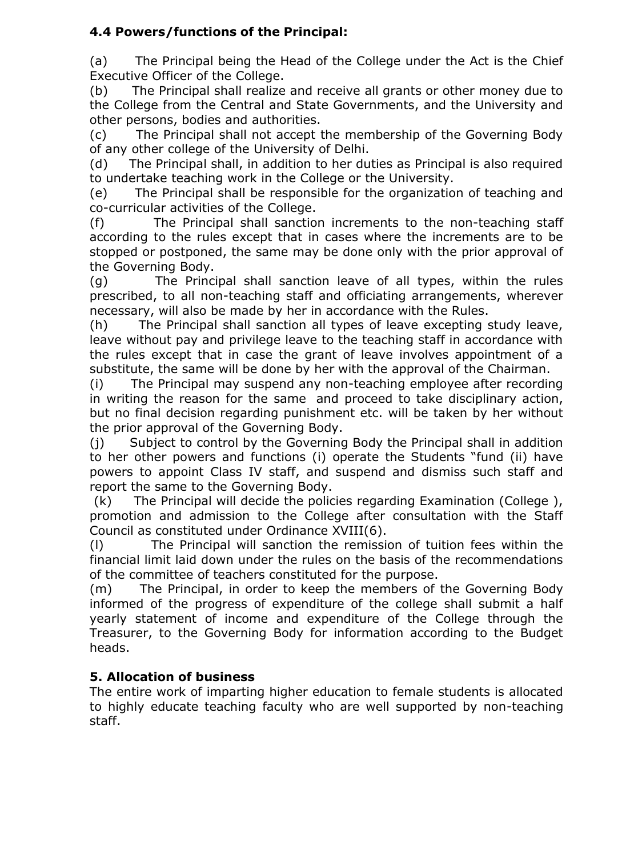# **4.4 Powers/functions of the Principal:**

(a) The Principal being the Head of the College under the Act is the Chief Executive Officer of the College.

(b) The Principal shall realize and receive all grants or other money due to the College from the Central and State Governments, and the University and other persons, bodies and authorities.

(c) The Principal shall not accept the membership of the Governing Body of any other college of the University of Delhi.

(d) The Principal shall, in addition to her duties as Principal is also required to undertake teaching work in the College or the University.

(e) The Principal shall be responsible for the organization of teaching and co-curricular activities of the College.

(f) The Principal shall sanction increments to the non-teaching staff according to the rules except that in cases where the increments are to be stopped or postponed, the same may be done only with the prior approval of the Governing Body.

(g) The Principal shall sanction leave of all types, within the rules prescribed, to all non-teaching staff and officiating arrangements, wherever necessary, will also be made by her in accordance with the Rules.

(h) The Principal shall sanction all types of leave excepting study leave, leave without pay and privilege leave to the teaching staff in accordance with the rules except that in case the grant of leave involves appointment of a substitute, the same will be done by her with the approval of the Chairman.

(i) The Principal may suspend any non-teaching employee after recording in writing the reason for the same and proceed to take disciplinary action, but no final decision regarding punishment etc. will be taken by her without the prior approval of the Governing Body.

(j) Subject to control by the Governing Body the Principal shall in addition to her other powers and functions (i) operate the Students "fund (ii) have powers to appoint Class IV staff, and suspend and dismiss such staff and report the same to the Governing Body.

(k) The Principal will decide the policies regarding Examination (College ), promotion and admission to the College after consultation with the Staff Council as constituted under Ordinance XVIII(6).

(l) The Principal will sanction the remission of tuition fees within the financial limit laid down under the rules on the basis of the recommendations of the committee of teachers constituted for the purpose.

(m) The Principal, in order to keep the members of the Governing Body informed of the progress of expenditure of the college shall submit a half yearly statement of income and expenditure of the College through the Treasurer, to the Governing Body for information according to the Budget heads.

# **5. Allocation of business**

The entire work of imparting higher education to female students is allocated to highly educate teaching faculty who are well supported by non-teaching staff.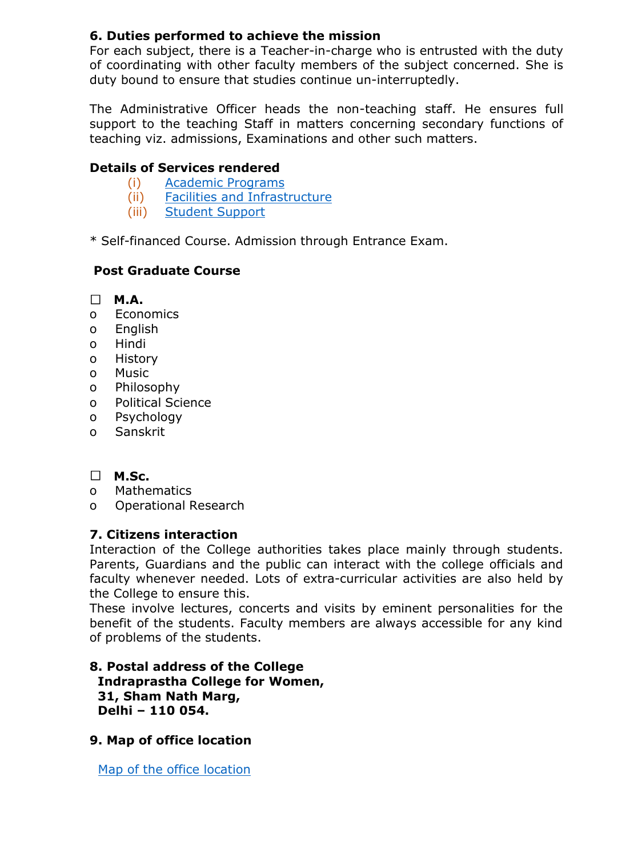# **6. Duties performed to achieve the mission**

For each subject, there is a Teacher-in-charge who is entrusted with the duty of coordinating with other faculty members of the subject concerned. She is duty bound to ensure that studies continue un-interruptedly.

The Administrative Officer heads the non-teaching staff. He ensures full support to the teaching Staff in matters concerning secondary functions of teaching viz. admissions, Examinations and other such matters.

# **Details of Services rendered**

- (i) [Academic](http://ipcollege.ac.in/Viewtopics.aspx?MenuId=Academic_programs_9079) Programs
- (ii) Facilities and [Infrastructure](http://ipcollege.ac.in/)
- (iii) Student [Support](http://ipcollege.ac.in/)

\* Self-financed Course. Admission through Entrance Exam.

# **Post Graduate Course**

- **M.A.**
- o Economics
- o English
- o Hindi
- o History
- o Music
- o Philosophy
- o Political Science
- o Psychology
- o Sanskrit

# **M.Sc.**

- o Mathematics
- o Operational Research

## **7. Citizens interaction**

Interaction of the College authorities takes place mainly through students. Parents, Guardians and the public can interact with the college officials and faculty whenever needed. Lots of extra-curricular activities are also held by the College to ensure this.

These involve lectures, concerts and visits by eminent personalities for the benefit of the students. Faculty members are always accessible for any kind of problems of the students.

## **8. Postal address of the College Indraprastha College for Women, 31, Sham Nath Marg, Delhi – 110 054.**

**9. Map of office location**

[Map of the office location](http://ipcollege.ac.in/Viewtopics.aspx?MenuId=Contact_Us_405)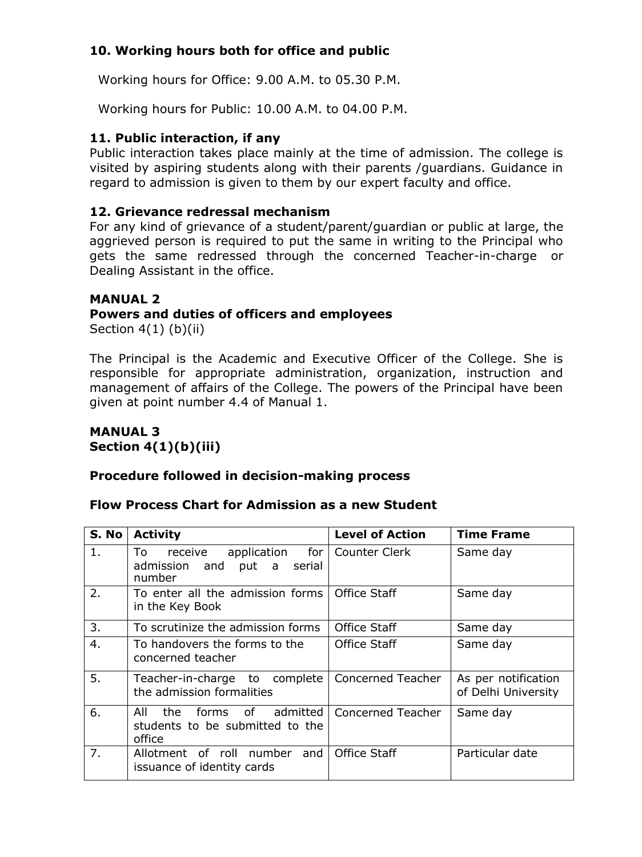# **10. Working hours both for office and public**

Working hours for Office: 9.00 A.M. to 05.30 P.M.

Working hours for Public: 10.00 A.M. to 04.00 P.M.

## **11. Public interaction, if any**

Public interaction takes place mainly at the time of admission. The college is visited by aspiring students along with their parents /guardians. Guidance in regard to admission is given to them by our expert faculty and office.

## **12. Grievance redressal mechanism**

For any kind of grievance of a student/parent/guardian or public at large, the aggrieved person is required to put the same in writing to the Principal who gets the same redressed through the concerned Teacher-in-charge or Dealing Assistant in the office.

## **MANUAL 2**

## **Powers and duties of officers and employees**

Section  $4(1)$  (b)(ii)

The Principal is the Academic and Executive Officer of the College. She is responsible for appropriate administration, organization, instruction and management of affairs of the College. The powers of the Principal have been given at point number 4.4 of Manual 1.

#### **MANUAL 3 Section 4(1)(b)(iii)**

## **Procedure followed in decision-making process**

## **Flow Process Chart for Admission as a new Student**

| S. No          | <b>Activity</b>                                                                          | <b>Level of Action</b> | <b>Time Frame</b>                          |
|----------------|------------------------------------------------------------------------------------------|------------------------|--------------------------------------------|
| 1 <sub>1</sub> | application for   Counter Clerk<br>receive<br>To<br>admission and put a serial<br>number |                        | Same day                                   |
| 2.             | To enter all the admission forms<br>in the Key Book                                      | Office Staff           | Same day                                   |
| 3.             | To scrutinize the admission forms                                                        | Office Staff           | Same day                                   |
| 4.             | To handovers the forms to the<br>concerned teacher                                       | <b>Office Staff</b>    | Same day                                   |
| 5.             | Teacher-in-charge to complete<br>the admission formalities                               | Concerned Teacher      | As per notification<br>of Delhi University |
| 6.             | of admitted<br>All<br>the.<br>forms<br>students to be submitted to the<br>office         | Concerned Teacher      | Same day                                   |
| 7.             | Allotment of roll number<br>and<br>issuance of identity cards                            | Office Staff           | Particular date                            |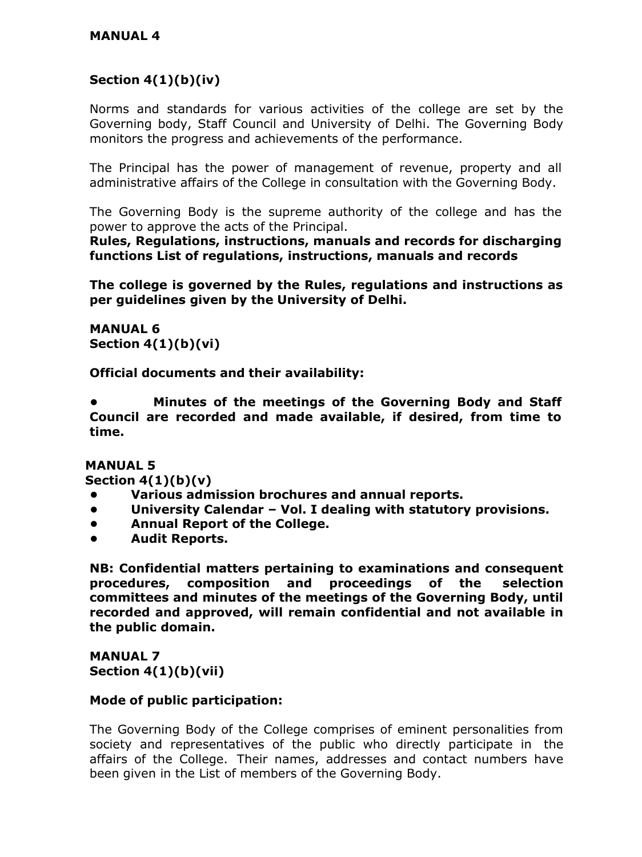# **Section 4(1)(b)(iv)**

Norms and standards for various activities of the college are set by the Governing body, Staff Council and University of Delhi. The Governing Body monitors the progress and achievements of the performance.

The Principal has the power of management of revenue, property and all administrative affairs of the College in consultation with the Governing Body.

The Governing Body is the supreme authority of the college and has the power to approve the acts of the Principal.

**Rules, Regulations, instructions, manuals and records for discharging functions List of regulations, instructions, manuals and records**

**The college is governed by the Rules, regulations and instructions as per guidelines given by the University of Delhi.**

**MANUAL 6 Section 4(1)(b)(vi)**

**Official documents and their availability:**

**• Minutes of the meetings of the Governing Body and Staff Council are recorded and made available, if desired, from time to time.**

**MANUAL 5**

**Section 4(1)(b)(v)**

- **• Various admission brochures and annual reports.**
- **• University Calendar – Vol. I dealing with statutory provisions.**
- **• Annual Report of the College.**
- **• Audit Reports.**

**NB: Confidential matters pertaining to examinations and consequent procedures, composition and proceedings of the selection committees and minutes of the meetings of the Governing Body, until recorded and approved, will remain confidential and not available in the public domain.**

**MANUAL 7 Section 4(1)(b)(vii)**

## **Mode of public participation:**

The Governing Body of the College comprises of eminent personalities from society and representatives of the public who directly participate in the affairs of the College. Their names, addresses and contact numbers have been given in the List of members of the Governing Body.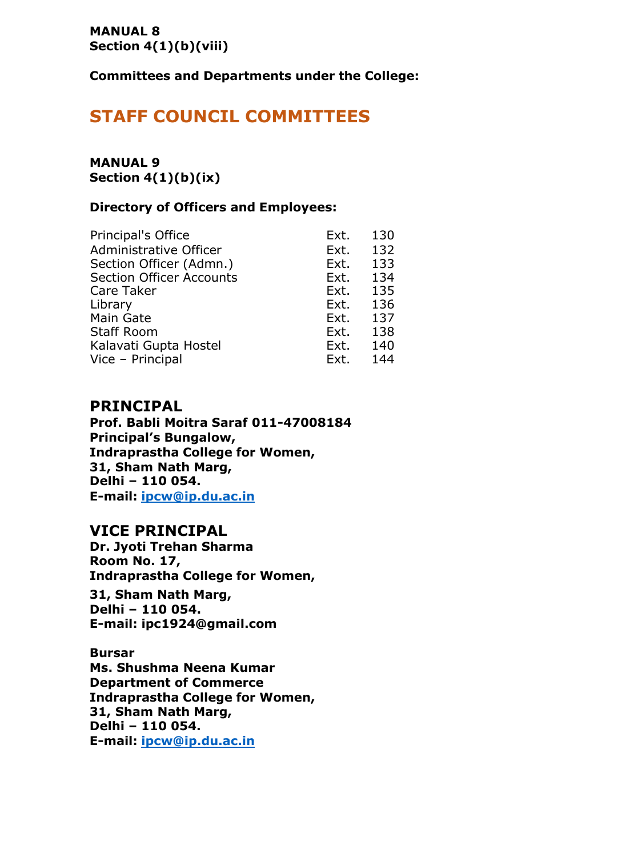#### **MANUAL 8 Section 4(1)(b)(viii)**

**Committees and Departments under the College:**

# **STAFF COUNCIL COMMITTEES**

## **MANUAL 9 Section 4(1)(b)(ix)**

## **Directory of Officers and Employees:**

| Principal's Office              | Ext. | 130 |
|---------------------------------|------|-----|
| Administrative Officer          | Ext. | 132 |
| Section Officer (Admn.)         | Ext. | 133 |
| <b>Section Officer Accounts</b> | Ext. | 134 |
| Care Taker                      | Ext. | 135 |
| Library                         | Ext. | 136 |
| Main Gate                       | Ext. | 137 |
| <b>Staff Room</b>               | Ext. | 138 |
| Kalavati Gupta Hostel           | Ext. | 140 |
| Vice - Principal                | Ext. | 144 |

## **PRINCIPAL**

**Prof. Babli Moitra Saraf 011-47008184 Principal's Bungalow, Indraprastha College for Women, 31, Sham Nath Marg, Delhi – 110 054. E-mail: [ipcw@ip.du.ac.in](mailto:ipcw@ip.du.ac.in)**

# **VICE PRINCIPAL**

**Dr. Jyoti Trehan Sharma Room No. 17, Indraprastha College for Women,**

**31, Sham Nath Marg, Delhi – 110 054. E-mail: [ipc1924@gmail.com](mailto:ipc1924@gmail.com)**

**Bursar Ms. Shushma Neena Kumar Department of Commerce Indraprastha College for Women, 31, Sham Nath Marg, Delhi – 110 054. E-mail: [ipcw@ip.du.ac.in](mailto:ipcw@ip.du.ac.in)**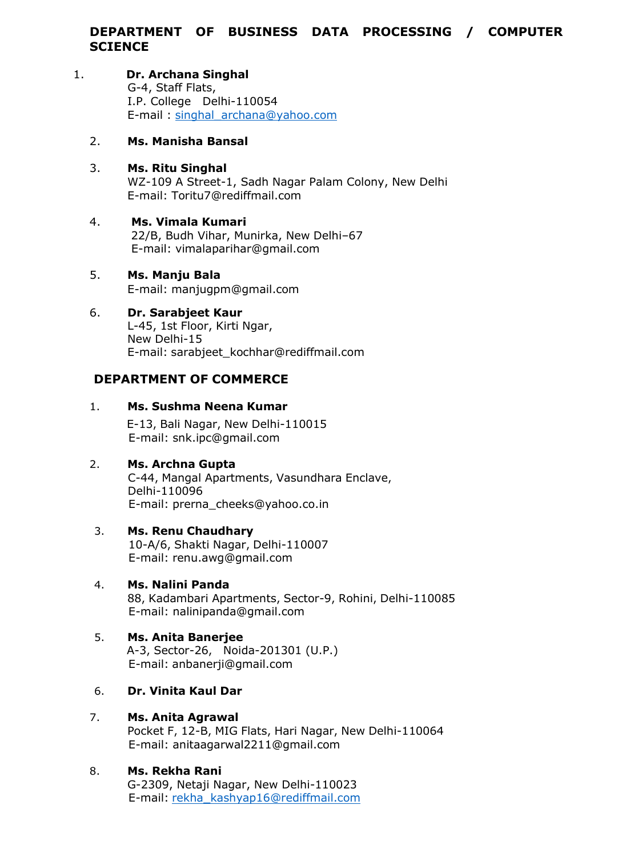## **DEPARTMENT OF BUSINESS DATA PROCESSING / COMPUTER SCIENCE**

# 1. **Dr. Archana Singhal**

G-4, Staff Flats, I.P. College Delhi-110054 E-mail : [singhal\\_archana@yahoo.com](mailto:singhal_archana@yahoo.com)

#### 2. **Ms. Manisha Bansal**

- 3. **Ms. Ritu Singhal** WZ-109 A Street-1, Sadh Nagar Palam Colony, New Delhi E-mail: [Toritu7@rediffmail.com](mailto:Toritu7@rediffmail.com)
- 4. **Ms. Vimala Kumari** 22/B, Budh Vihar, Munirka, New Delhi–67 E-mail: [vimalaparihar@gmail.com](mailto:vimalaparihar@gmail.com)
- 5. **Ms. Manju Bala** E-mail: [manjugpm@gmail.com](mailto:manjugpm@gmail.com)

## 6. **Dr. Sarabjeet Kaur**

L-45, 1st Floor, Kirti Ngar, New Delhi-15 E-mail: [sarabjeet\\_kochhar@rediffmail.com](mailto:sarabjeet_kochhar@rediffmail.com)

## **DEPARTMENT OF COMMERCE**

## 1. **Ms. Sushma Neena Kumar**

E-13, Bali Nagar, New Delhi-110015 E-mail: [snk.ipc@gmail.com](mailto:snk.ipc@gmail.com)

## 2. **Ms. Archna Gupta**

C-44, Mangal Apartments, Vasundhara Enclave, Delhi-110096 E-mail: [prerna\\_cheeks@yahoo.co.in](mailto:prerna_cheeks@yahoo.co.in)

## 3. **Ms. Renu Chaudhary**

10-A/6, Shakti Nagar, Delhi-110007 E-mail: [renu.awg@gmail.com](mailto:renu.awg@gmail.com)

4. **Ms. Nalini Panda** 88, Kadambari Apartments, Sector-9, Rohini, Delhi-110085 E-mail: [nalinipanda@gmail.com](mailto:nalinipanda@gmail.com)

#### 5. **Ms. Anita Banerjee** A-3, Sector-26, Noida-201301 (U.P.) E-mail: [anbanerji@gmail.com](mailto:anbanerji@gmail.com)

## 6. **Dr. Vinita Kaul Dar**

## 7. **Ms. Anita Agrawal**

Pocket F, 12-B, MIG Flats, Hari Nagar, New Delhi-110064 E-mail: [anitaagarwal2211@gmail.com](mailto:anitaagarwal2211@gmail.com)

## 8. **Ms. Rekha Rani**

G-2309, Netaji Nagar, New Delhi-110023 E-mail: [rekha\\_kashyap16@rediffmail.com](mailto:rekha_kashyap16@rediffmail.com)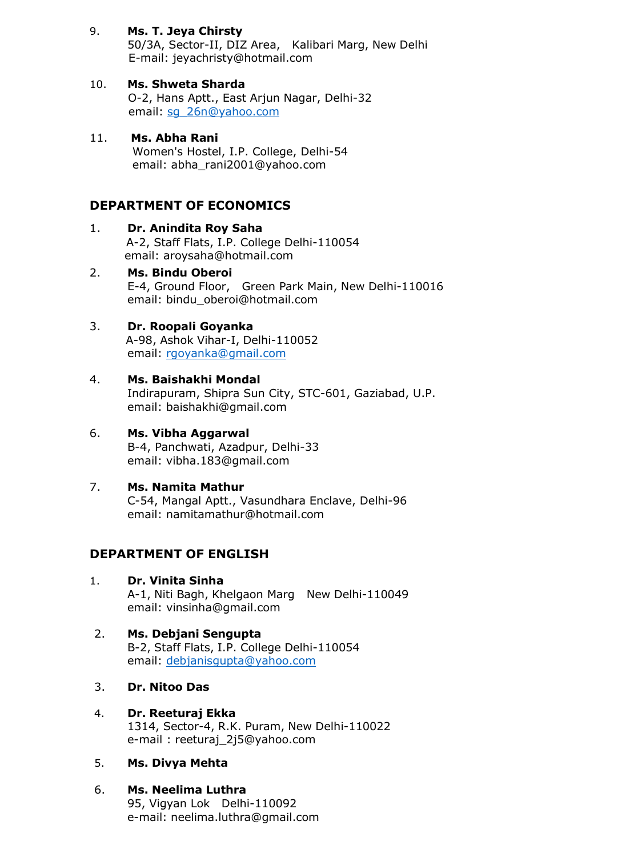9. **Ms. T. Jeya Chirsty**

50/3A, Sector-II, DIZ Area, Kalibari Marg, New Delhi E-mail: [jeyachristy@hotmail.com](mailto:jeyachristy@hotmail.com)

- 10. **Ms. Shweta Sharda** O-2, Hans Aptt., East Arjun Nagar, Delhi-32 email: [sg\\_26n@yahoo.com](mailto:sg_26n@yahoo.com)
- 11. **Ms. Abha Rani** Women's Hostel, I.P. College, Delhi-54 email: [abha\\_rani2001@yahoo.com](mailto:abha_rani2001@yahoo.com)

## **DEPARTMENT OF ECONOMICS**

- 1. **Dr. Anindita Roy Saha** A-2, Staff Flats, I.P. College Delhi-110054 email: [aroysaha@hotmail.com](mailto:aroysaha@hotmail.com)
- 2. **Ms. Bindu Oberoi** E-4, Ground Floor, Green Park Main, New Delhi-110016 email: [bindu\\_oberoi@hotmail.com](mailto:bindu_oberoi@hotmail.com)

## 3. **Dr. Roopali Goyanka**

A-98, Ashok Vihar-I, Delhi-110052 email: [rgoyanka@gmail.com](mailto:rgoyanka@gmail.com)

#### 4. **Ms. Baishakhi Mondal**

Indirapuram, Shipra Sun City, STC-601, Gaziabad, U.P. email: [baishakhi@gmail.com](mailto:baishakhi@gmail.com)

# 6. **Ms. Vibha Aggarwal**

B-4, Panchwati, Azadpur, Delhi-33 email: [vibha.183@gmail.com](mailto:vibha.183@gmail.com)

#### 7. **Ms. Namita Mathur**

C-54, Mangal Aptt., Vasundhara Enclave, Delhi-96 email: [namitamathur@hotmail.com](mailto:namitamathur@hotmail.com)

## **DEPARTMENT OF ENGLISH**

1. **Dr. Vinita Sinha**

A-1, Niti Bagh, Khelgaon Marg New Delhi-110049 email: [vinsinha@gmail.com](mailto:vinsinha@gmail.com)

#### 2. **Ms. Debjani Sengupta** B-2, Staff Flats, I.P. College Delhi-110054 email: [debjanisgupta@yahoo.com](mailto:debjanisgupta@yahoo.com)

- 3. **Dr. Nitoo Das**
- 4. **Dr. Reeturaj Ekka** 1314, Sector-4, R.K. Puram, New Delhi-110022 e-mail : [reeturaj\\_2j5@yahoo.com](mailto:reeturaj_2j5@yahoo.com)

#### 5. **Ms. Divya Mehta**

#### 6. **Ms. Neelima Luthra**

95, Vigyan Lok Delhi-110092 e-mail: [neelima.luthra@gmail.com](mailto:neelima.luthra@gmail.com)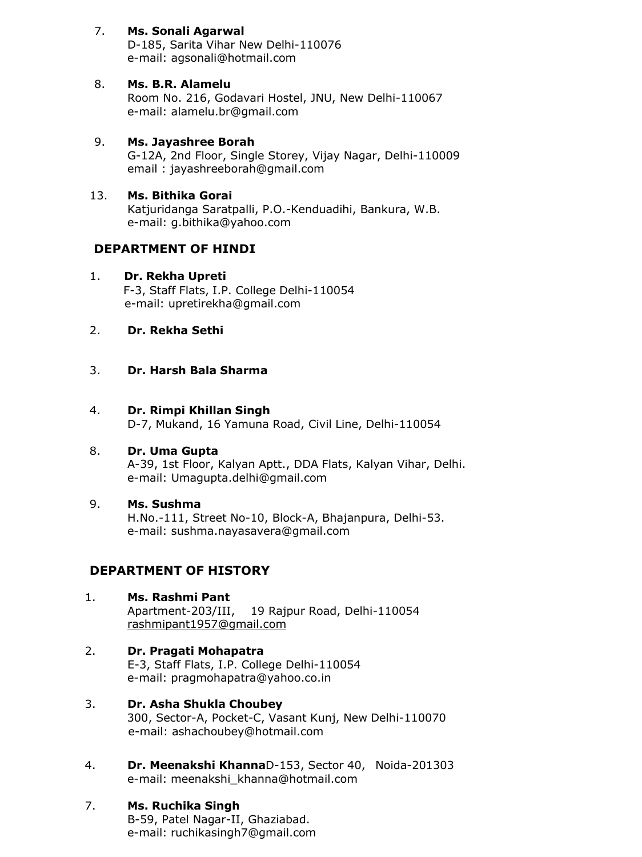## 7. **Ms. Sonali Agarwal**

D-185, Sarita Vihar New Delhi-110076 e-mail: [agsonali@hotmail.com](mailto:agsonali@hotmail.com)

## 8. **Ms. B.R. Alamelu**

Room No. 216, Godavari Hostel, JNU, New Delhi-110067 e-mail: [alamelu.br@gmail.com](mailto:alamelu.br@gmail.com)

## 9. **Ms. Jayashree Borah**

G-12A, 2nd Floor, Single Storey, Vijay Nagar, Delhi-110009 email : [jayashreeborah@gmail.com](mailto:jayashreeborah@gmail.com)

## 13. **Ms. Bithika Gorai**

Katjuridanga Saratpalli, P.O.-Kenduadihi, Bankura, W.B. e-mail: [g.bithika@yahoo.com](mailto:g.bithika@yahoo.com)

## **DEPARTMENT OF HINDI**

## 1. **Dr. Rekha Upreti**

F-3, Staff Flats, I.P. College Delhi-110054 e-mail: [upretirekha@gmail.com](mailto:upretirekha@gmail.com)

## 2. **Dr. Rekha Sethi**

## 3. **Dr. Harsh Bala Sharma**

#### 4. **Dr. Rimpi Khillan Singh**

D-7, Mukand, 16 Yamuna Road, Civil Line, Delhi-110054

#### 8. **Dr. Uma Gupta**

A-39, 1st Floor, Kalyan Aptt., DDA Flats, Kalyan Vihar, Delhi. e-mail: [Umagupta.delhi@gmail.com](mailto:Umagupta.delhi@gmail.com)

#### 9. **Ms. Sushma** H.No.-111, Street No-10, Block-A, Bhajanpura, Delhi-53. e-mail: [sushma.nayasavera@gmail.com](mailto:sushma.nayasavera@gmail.com)

# **DEPARTMENT OF HISTORY**

- 1. **Ms. Rashmi Pant** Apartment-203/III, 19 Rajpur Road, Delhi-110054 [rashmipant1957@gmail.com](mailto:rashmipant1957@gmail.com)
- 2. **Dr. Pragati Mohapatra** E-3, Staff Flats, I.P. College Delhi-110054 e-mail: [pragmohapatra@yahoo.co.in](mailto:pragmohapatra@yahoo.co.in)
- 3. **Dr. Asha Shukla Choubey** 300, Sector-A, Pocket-C, Vasant Kunj, New Delhi-110070 e-mail: [ashachoubey@hotmail.com](mailto:ashachoubey@hotmail.com)
- 4. **Dr. Meenakshi Khanna**D-153, Sector 40, Noida-201303 e-mail: [meenakshi\\_khanna@hotmail.com](mailto:meenakshi_khanna@hotmail.com)

## 7. **Ms. Ruchika Singh**

B-59, Patel Nagar-II, Ghaziabad. e-mail: [ruchikasingh7@gmail.com](mailto:ruchikasingh7@gmail.com)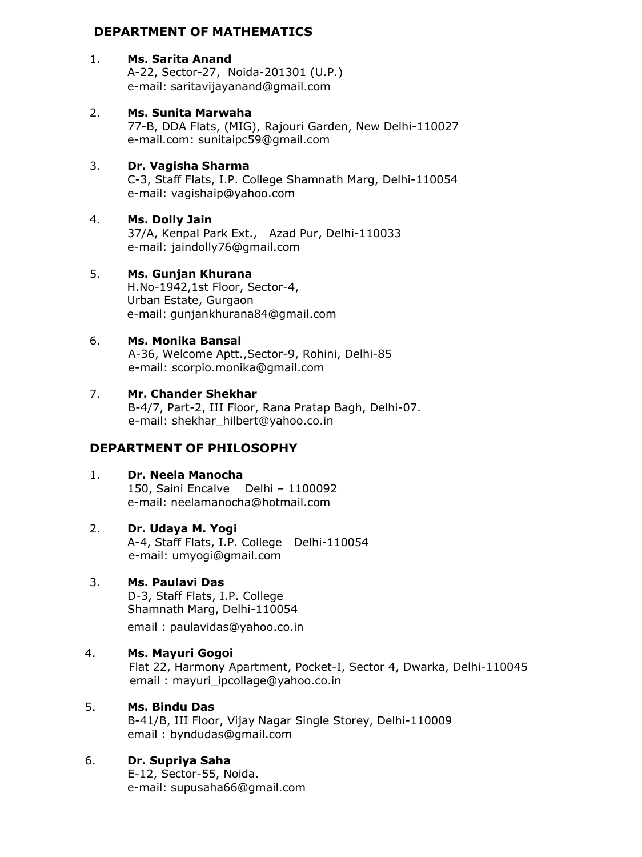## **DEPARTMENT OF MATHEMATICS**

## 1. **Ms. Sarita Anand**

A-22, Sector-27, Noida-201301 (U.P.) e-mail: [saritavijayanand@gmail.com](mailto:saritavijayanand@gmail.com)

## 2. **Ms. Sunita Marwaha**

77-B, DDA Flats, (MIG), Rajouri Garden, New Delhi-110027 e-mail.com: [sunitaipc59@gmail.com](mailto:sunitaipc59@gmail.com)

## 3. **Dr. Vagisha Sharma**

C-3, Staff Flats, I.P. College Shamnath Marg, Delhi-110054 e-mail: [vagishaip@yahoo.com](mailto:vagishaip@yahoo.com)

## 4. **Ms. Dolly Jain**

37/A, Kenpal Park Ext., Azad Pur, Delhi-110033 e-mail: [jaindolly76@gmail.com](mailto:jaindolly76@gmail.com)

## 5. **Ms. Gunjan Khurana**

H.No-1942,1st Floor, Sector-4, Urban Estate, Gurgaon e-mail: [gunjankhurana84@gmail.com](mailto:gunjankhurana84@gmail.com)

## 6. **Ms. Monika Bansal**

A-36, Welcome Aptt.,Sector-9, Rohini, Delhi-85 e-mail: [scorpio.monika@gmail.com](mailto:scorpio.monika@gmail.com)

## 7. **Mr. Chander Shekhar**

B-4/7, Part-2, III Floor, Rana Pratap Bagh, Delhi-07. e-mail: [shekhar\\_hilbert@yahoo.co.in](mailto:shekhar_hilbert@yahoo.co.in)

# **DEPARTMENT OF PHILOSOPHY**

## 1. **Dr. Neela Manocha**

150, Saini Encalve Delhi – 1100092 e-mail: [neelamanocha@hotmail.com](mailto:neelamanocha@hotmail.com)

## 2. **Dr. Udaya M. Yogi**

A-4, Staff Flats, I.P. College Delhi-110054 e-mail: [umyogi@gmail.com](mailto:umyogi@gmail.com)

## 3. **Ms. Paulavi Das**

D-3, Staff Flats, I.P. College Shamnath Marg, Delhi-110054

email : [paulavidas@yahoo.co.in](mailto:paulavidas@yahoo.co.in)

## 4. **Ms. Mayuri Gogoi**

Flat 22, Harmony Apartment, Pocket-I, Sector 4, Dwarka, Delhi-110045 email : mayuri ipcollage@yahoo.co.in

#### 5. **Ms. Bindu Das**

B-41/B, III Floor, Vijay Nagar Single Storey, Delhi-110009 email : [byndudas@gmail.com](mailto:byndudas@gmail.com)

## 6. **Dr. Supriya Saha**

E-12, Sector-55, Noida. e-mail: [supusaha66@gmail.com](mailto:supusaha66@gmail.com)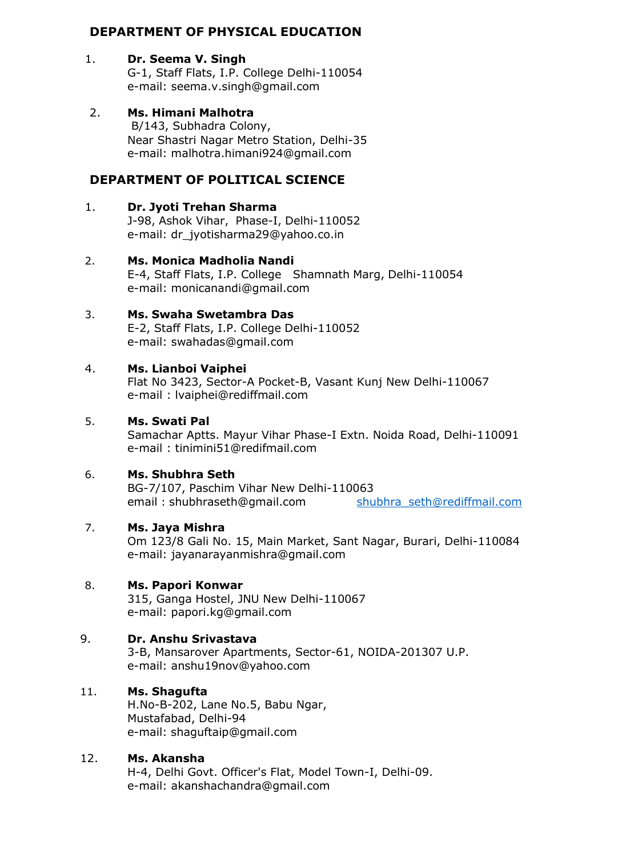## **DEPARTMENT OF PHYSICAL EDUCATION**

#### 1. **Dr. Seema V. Singh**

G-1, Staff Flats, I.P. College Delhi-110054 e-mail: [seema.v.singh@gmail.com](mailto:seema.v.singh@gmail.com)

# 2. **Ms. Himani Malhotra**

B/143, Subhadra Colony, Near Shastri Nagar Metro Station, Delhi-35 e-mail: [malhotra.himani924@gmail.com](mailto:malhotra.himani924@gmail.com)

# **DEPARTMENT OF POLITICAL SCIENCE**

#### 1. **Dr. Jyoti Trehan Sharma** J-98, Ashok Vihar, Phase-I, Delhi-110052 e-mail: [dr\\_jyotisharma29@yahoo.co.in](mailto:dr_jyotisharma29@yahoo.co.in)

- 2. **Ms. Monica Madholia Nandi** E-4, Staff Flats, I.P. College Shamnath Marg, Delhi-110054 e-mail: [monicanandi@gmail.com](mailto:monicanandi@gmail.com)
- 3. **Ms. Swaha Swetambra Das** E-2, Staff Flats, I.P. College Delhi-110052 e-mail: [swahadas@gmail.com](mailto:swahadas@gmail.com)

## 4. **Ms. Lianboi Vaiphei**

Flat No 3423, Sector-A Pocket-B, Vasant Kunj New Delhi-110067 e-mail : [lvaiphei@rediffmail.com](mailto:lvaiphei@rediffmail.com)

#### 5. **Ms. Swati Pal**

Samachar Aptts. Mayur Vihar Phase-I Extn. Noida Road, Delhi-110091 e-mail : [tinimini51@redifmail.com](mailto:tinimini51@redifmail.com)

#### 6. **Ms. Shubhra Seth**

BG-7/107, Paschim Vihar New Delhi-110063 email : [shubhraseth@gmail.com](mailto:shubhraseth@gmail.com) shubhra\_seth@[rediffmail.com](mailto:shubhra_seth@rediffmail.com)

#### 7. **Ms. Jaya Mishra**

Om 123/8 Gali No. 15, Main Market, Sant Nagar, Burari, Delhi-110084 e-mail: [jayanarayanmishra@gmail.com](mailto:jayanarayanmishra@gmail.com)

#### 8. **Ms. Papori Konwar**

315, Ganga Hostel, JNU New Delhi-110067 e-mail: [papori.kg@gmail.com](mailto:papori.kg@gmail.com)

#### 9. **Dr. Anshu Srivastava**

3-B, Mansarover Apartments, Sector-61, NOIDA-201307 U.P. e-mail: [anshu19nov@yahoo.com](mailto:anshu19nov@yahoo.com)

#### 11. **Ms. Shagufta**

H.No-B-202, Lane No.5, Babu Ngar, Mustafabad, Delhi-94 e-mail: [shaguftaip@gmail.com](mailto:shaguftaip@gmail.com)

#### 12. **Ms. Akansha**

H-4, Delhi Govt. Officer's Flat, Model Town-I, Delhi-09. e-mail: [akanshachandra@gmail.com](mailto:akanshachandra@gmail.com)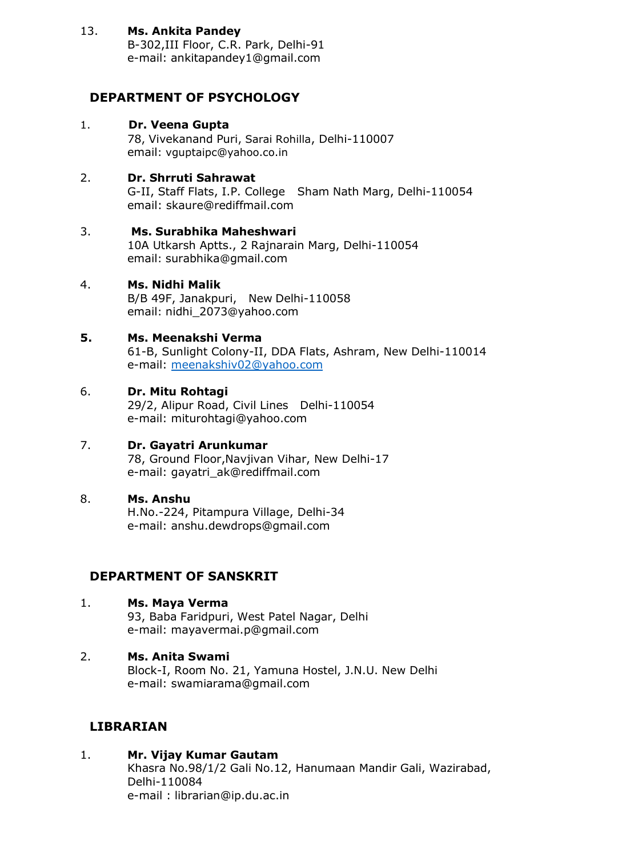#### 13. **Ms. Ankita Pandey**

B-302,III Floor, C.R. Park, Delhi-91 e-mail: [ankitapandey1@gmail.com](mailto:ankitapandey1@gmail.com)

## **DEPARTMENT OF PSYCHOLOGY**

## 1. **Dr. Veena Gupta**

78, Vivekanand Puri, Sarai Rohilla, Delhi-110007 email: [vguptaipc@yahoo.co.in](mailto:vguptaipc@yahoo.co.in)

## 2. **Dr. Shrruti Sahrawat**

G-II, Staff Flats, I.P. College Sham Nath Marg, Delhi-110054 email: [skaure@rediffmail.com](mailto:skaure@rediffmail.com)

## 3. **Ms. Surabhika Maheshwari**

10A Utkarsh Aptts., 2 Rajnarain Marg, Delhi-110054 email: surabhika@[gmail.com](mailto:surabhika@gmail.com)

#### 4. **Ms. Nidhi Malik**

B/B 49F, Janakpuri, New Delhi-110058 email: [nidhi\\_2073](mailto:nidhi_2073@yahoo.com)@yahoo.com

## **5. Ms. Meenakshi Verma**

61-B, Sunlight Colony-II, DDA Flats, Ashram, New Delhi-110014 e-mail: [meenakshiv02@yahoo.com](mailto:meenakshiv02@yahoo.com)

## 6. **Dr. Mitu Rohtagi**

29/2, Alipur Road, Civil Lines Delhi-110054 e-mail: [miturohtagi@yahoo.com](mailto:miturohtagi@yahoo.com)

#### 7. **Dr. Gayatri Arunkumar**

78, Ground Floor,Navjivan Vihar, New Delhi-17 e-mail: [gayatri\\_ak@rediffmail.com](mailto:gayatri_ak@rediffmail.com)

#### 8. **Ms. Anshu** H.No.-224, Pitampura Village, Delhi-34 e-mail: [anshu.dewdrops@gmail.com](mailto:anshu.dewdrops@gmail.com)

# **DEPARTMENT OF SANSKRIT**

- 1. **Ms. Maya Verma** 93, Baba Faridpuri, West Patel Nagar, Delhi e-mail: [mayavermai.p@gmail.com](mailto:mayavermai.p@gmail.com)
- 2. **Ms. Anita Swami** Block-I, Room No. 21, Yamuna Hostel, J.N.U. New Delhi e-mail: [swamiarama@gmail.com](mailto:swamiarama@gmail.com)

## **LIBRARIAN**

1. **Mr. Vijay Kumar Gautam** Khasra No.98/1/2 Gali No.12, Hanumaan Mandir Gali, Wazirabad, Delhi-110084 e-mail : [librarian@ip.du.ac.in](mailto:librarian@ip.du.ac.in)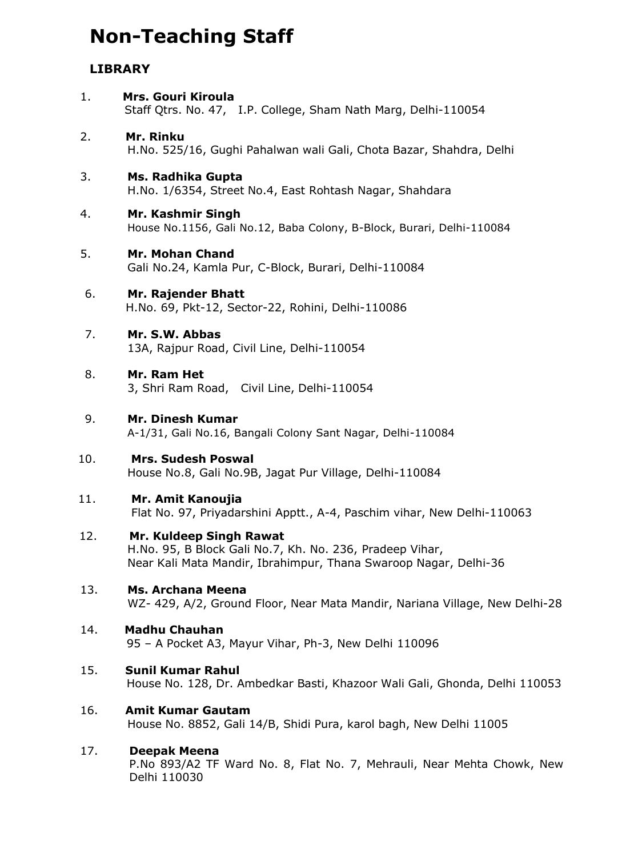# **Non-Teaching Staff**

## **LIBRARY**

1. **Mrs. Gouri Kiroula** Staff Qtrs. No. 47, I.P. College, Sham Nath Marg, Delhi-110054 2. **Mr. Rinku** H.No. 525/16, Gughi Pahalwan wali Gali, Chota Bazar, Shahdra, Delhi 3. **Ms. Radhika Gupta** H.No. 1/6354, Street No.4, East Rohtash Nagar, Shahdara 4. **Mr. Kashmir Singh** House No.1156, Gali No.12, Baba Colony, B-Block, Burari, Delhi-110084 5. **Mr. Mohan Chand** Gali No.24, Kamla Pur, C-Block, Burari, Delhi-110084 6. **Mr. Rajender Bhatt** H.No. 69, Pkt-12, Sector-22, Rohini, Delhi-110086 7. **Mr. S.W. Abbas** 13A, Rajpur Road, Civil Line, Delhi-110054 8. **Mr. Ram Het** 3, Shri Ram Road, Civil Line, Delhi-110054 9. **Mr. Dinesh Kumar** A-1/31, Gali No.16, Bangali Colony Sant Nagar, Delhi-110084 10. **Mrs. Sudesh Poswal** House No.8, Gali No.9B, Jagat Pur Village, Delhi-110084 11. **Mr. Amit Kanoujia** Flat No. 97, Priyadarshini Apptt., A-4, Paschim vihar, New Delhi-110063 12. **Mr. Kuldeep Singh Rawat** H.No. 95, B Block Gali No.7, Kh. No. 236, Pradeep Vihar, Near Kali Mata Mandir, Ibrahimpur, Thana Swaroop Nagar, Delhi-36 13. **Ms. Archana Meena** WZ- 429, A/2, Ground Floor, Near Mata Mandir, Nariana Village, New Delhi-28 14. **Madhu Chauhan** 95 – A Pocket A3, Mayur Vihar, Ph-3, New Delhi 110096 15. **Sunil Kumar Rahul** House No. 128, Dr. Ambedkar Basti, Khazoor Wali Gali, Ghonda, Delhi 110053 16. **Amit Kumar Gautam** House No. 8852, Gali 14/B, Shidi Pura, karol bagh, New Delhi 11005 17. **Deepak Meena** P.No 893/A2 TF Ward No. 8, Flat No. 7, Mehrauli, Near Mehta Chowk, New Delhi 110030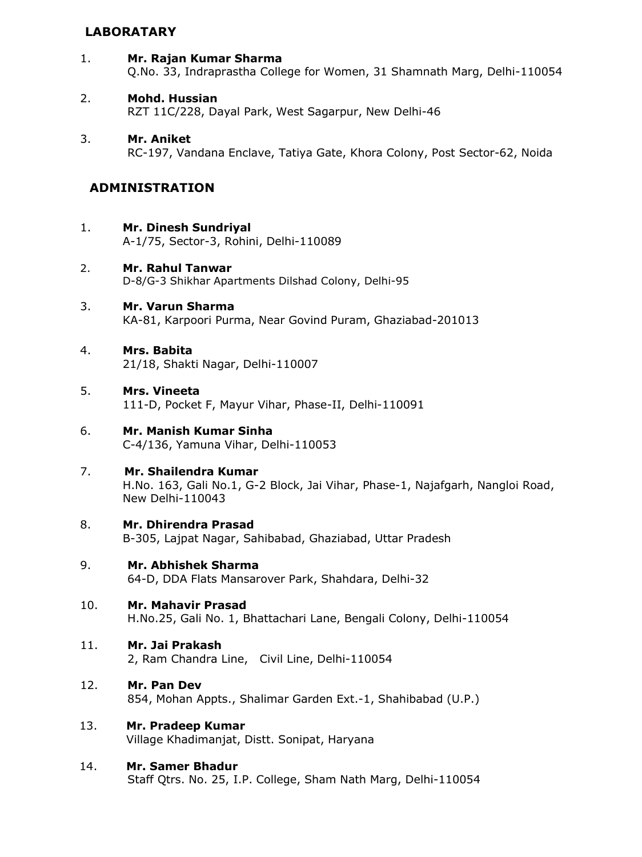## **LABORATARY**

- 1. **Mr. Rajan Kumar Sharma** Q.No. 33, Indraprastha College for Women, 31 Shamnath Marg, Delhi-110054
- 2. **Mohd. Hussian** RZT 11C/228, Dayal Park, West Sagarpur, New Delhi-46
- 3. **Mr. Aniket** RC-197, Vandana Enclave, Tatiya Gate, Khora Colony, Post Sector-62, Noida

## **ADMINISTRATION**

- 1. **Mr. Dinesh Sundriyal**
	- A-1/75, Sector-3, Rohini, Delhi-110089
- 2. **Mr. Rahul Tanwar** D-8/G-3 Shikhar Apartments Dilshad Colony, Delhi-95
- 3. **Mr. Varun Sharma** KA-81, Karpoori Purma, Near Govind Puram, Ghaziabad-201013
- 4. **Mrs. Babita** 21/18, Shakti Nagar, Delhi-110007
- 5. **Mrs. Vineeta** 111-D, Pocket F, Mayur Vihar, Phase-II, Delhi-110091
- 6. **Mr. Manish Kumar Sinha** C-4/136, Yamuna Vihar, Delhi-110053
- 7. **Mr. Shailendra Kumar** H.No. 163, Gali No.1, G-2 Block, Jai Vihar, Phase-1, Najafgarh, Nangloi Road, New Delhi-110043
- 8. **Mr. Dhirendra Prasad** B-305, Lajpat Nagar, Sahibabad, Ghaziabad, Uttar Pradesh
- 9. **Mr. Abhishek Sharma** 64-D, DDA Flats Mansarover Park, Shahdara, Delhi-32
- 10. **Mr. Mahavir Prasad** H.No.25, Gali No. 1, Bhattachari Lane, Bengali Colony, Delhi-110054
- 11. **Mr. Jai Prakash**

2, Ram Chandra Line, Civil Line, Delhi-110054

- 12. **Mr. Pan Dev** 854, Mohan Appts., Shalimar Garden Ext.-1, Shahibabad (U.P.)
- 13. **Mr. Pradeep Kumar** Village Khadimanjat, Distt. Sonipat, Haryana
- 14. **Mr. Samer Bhadur** Staff Qtrs. No. 25, I.P. College, Sham Nath Marg, Delhi-110054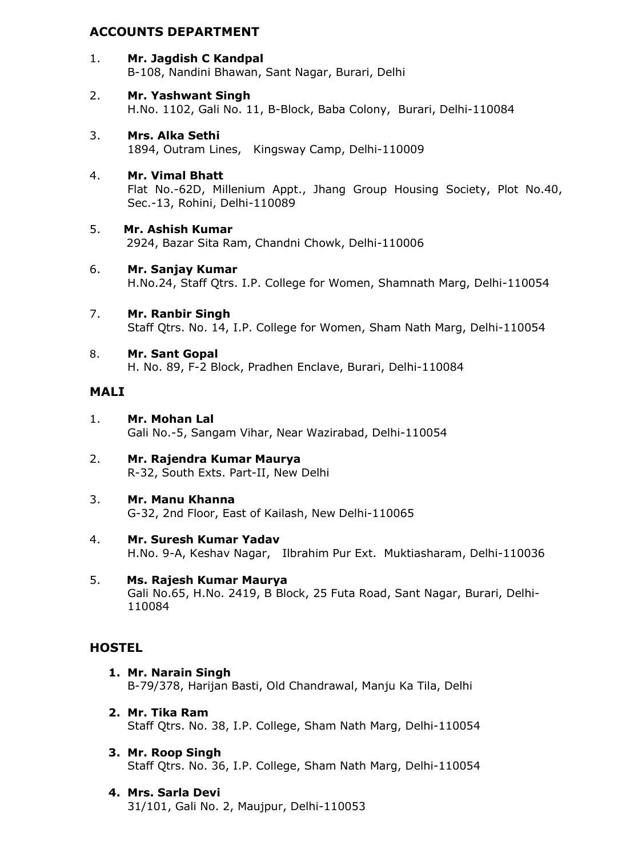## **ACCOUNTS DEPARTMENT**

- 1. **Mr. Jagdish C Kandpal** B-108, Nandini Bhawan, Sant Nagar, Burari, Delhi
- 2. **Mr. Yashwant Singh** H.No. 1102, Gali No. 11, B-Block, Baba Colony, Burari, Delhi-110084
- 3. **Mrs. Alka Sethi** 1894, Outram Lines, Kingsway Camp, Delhi-110009
- 4. **Mr. Vimal Bhatt** Flat No.-62D, Millenium Appt., Jhang Group Housing Society, Plot No.40, Sec.-13, Rohini, Delhi-110089
- 5. **Mr. Ashish Kumar** 2924, Bazar Sita Ram, Chandni Chowk, Delhi-110006
- 6. **Mr. Sanjay Kumar** H.No.24, Staff Qtrs. I.P. College for Women, Shamnath Marg, Delhi-110054
- 7. **Mr. Ranbir Singh** Staff Qtrs. No. 14, I.P. College for Women, Sham Nath Marg, Delhi-110054
- 8. **Mr. Sant Gopal** H. No. 89, F-2 Block, Pradhen Enclave, Burari, Delhi-110084

#### **MALI**

- 1. **Mr. Mohan Lal** Gali No.-5, Sangam Vihar, Near Wazirabad, Delhi-110054
- 2. **Mr. Rajendra Kumar Maurya** R-32, South Exts. Part-II, New Delhi
- 3. **Mr. Manu Khanna** G-32, 2nd Floor, East of Kailash, New Delhi-110065
- 4. **Mr. Suresh Kumar Yadav** H.No. 9-A, Keshav Nagar, Ilbrahim Pur Ext. Muktiasharam, Delhi-110036
- 5. **Ms. Rajesh Kumar Maurya** Gali No.65, H.No. 2419, B Block, 25 Futa Road, Sant Nagar, Burari, Delhi-110084

## **HOSTEL**

- **1. Mr. Narain Singh** B-79/378, Harijan Basti, Old Chandrawal, Manju Ka Tila, Delhi
- **2. Mr. Tika Ram** Staff Qtrs. No. 38, I.P. College, Sham Nath Marg, Delhi-110054
- **3. Mr. Roop Singh** Staff Qtrs. No. 36, I.P. College, Sham Nath Marg, Delhi-110054
- **4. Mrs. Sarla Devi** 31/101, Gali No. 2, Maujpur, Delhi-110053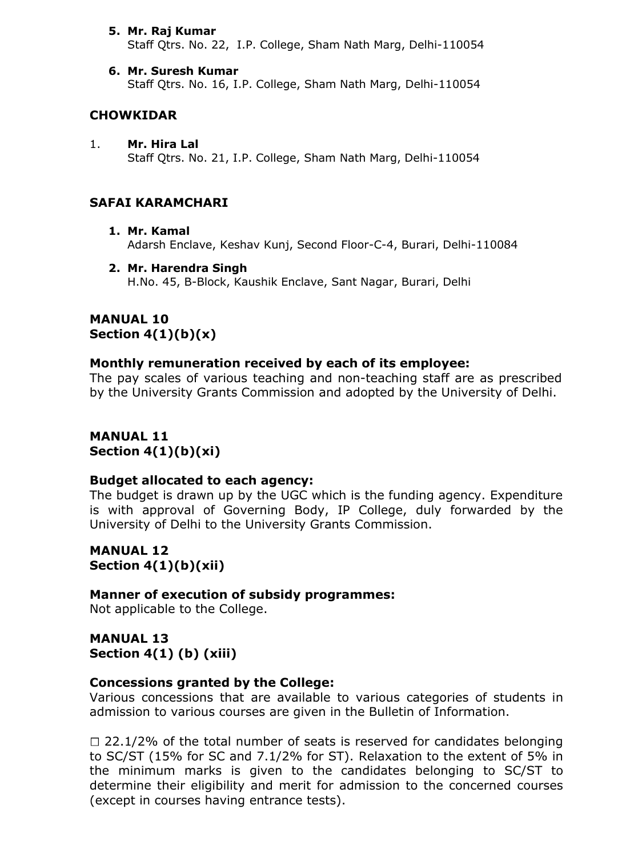#### **5. Mr. Raj Kumar**

Staff Qtrs. No. 22, I.P. College, Sham Nath Marg, Delhi-110054

**6. Mr. Suresh Kumar** Staff Qtrs. No. 16, I.P. College, Sham Nath Marg, Delhi-110054

#### **CHOWKIDAR**

1. **Mr. Hira Lal** Staff Qtrs. No. 21, I.P. College, Sham Nath Marg, Delhi-110054

#### **SAFAI KARAMCHARI**

- **1. Mr. Kamal** Adarsh Enclave, Keshav Kunj, Second Floor-C-4, Burari, Delhi-110084
- **2. Mr. Harendra Singh** H.No. 45, B-Block, Kaushik Enclave, Sant Nagar, Burari, Delhi

#### **MANUAL 10 Section 4(1)(b)(x)**

#### **Monthly remuneration received by each of its employee:**

The pay scales of various teaching and non-teaching staff are as prescribed by the University Grants Commission and adopted by the University of Delhi.

**MANUAL 11 Section 4(1)(b)(xi)**

#### **Budget allocated to each agency:**

The budget is drawn up by the UGC which is the funding agency. Expenditure is with approval of Governing Body, IP College, duly forwarded by the University of Delhi to the University Grants Commission.

**MANUAL 12 Section 4(1)(b)(xii)**

**Manner of execution of subsidy programmes:** Not applicable to the College.

**MANUAL 13 Section 4(1) (b) (xiii)**

#### **Concessions granted by the College:**

Various concessions that are available to various categories of students in admission to various courses are given in the Bulletin of Information.

 $\Box$  22.1/2% of the total number of seats is reserved for candidates belonging to SC/ST (15% for SC and 7.1/2% for ST). Relaxation to the extent of 5% in the minimum marks is given to the candidates belonging to SC/ST to determine their eligibility and merit for admission to the concerned courses (except in courses having entrance tests).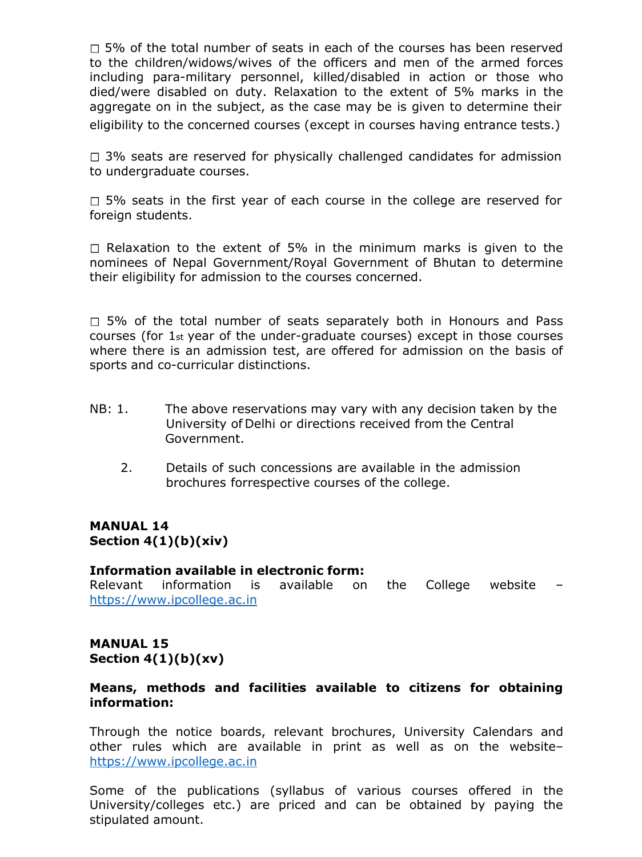$\Box$  5% of the total number of seats in each of the courses has been reserved to the children/widows/wives of the officers and men of the armed forces including para-military personnel, killed/disabled in action or those who died/were disabled on duty. Relaxation to the extent of 5% marks in the aggregate on in the subject, as the case may be is given to determine their eligibility to the concerned courses (except in courses having entrance tests.)

 $\Box$  3% seats are reserved for physically challenged candidates for admission to undergraduate courses.

 $\Box$  5% seats in the first year of each course in the college are reserved for foreign students.

 $\Box$  Relaxation to the extent of 5% in the minimum marks is given to the nominees of Nepal Government/Royal Government of Bhutan to determine their eligibility for admission to the courses concerned.

 $\Box$  5% of the total number of seats separately both in Honours and Pass courses (for 1st year of the under-graduate courses) except in those courses where there is an admission test, are offered for admission on the basis of sports and co-curricular distinctions.

- NB: 1. The above reservations may vary with any decision taken by the University of Delhi or directions received from the Central Government.
	- 2. Details of such concessions are available in the admission brochures forrespective courses of the college.

## **MANUAL 14 Section 4(1)(b)(xiv)**

#### **Information available in electronic form:**

Relevant information is available on the College website – [https://www.ipcollege.ac.in](https://www.ipcollege.ac.in/)

## **MANUAL 15 Section 4(1)(b)(xv)**

## **Means, methods and facilities available to citizens for obtaining information:**

Through the notice boards, relevant brochures, University Calendars and other rules which are available in print as well as on the website– [https://www.ipcollege.ac.in](https://www.ipcollege.ac.in/)

Some of the publications (syllabus of various courses offered in the University/colleges etc.) are priced and can be obtained by paying the stipulated amount.